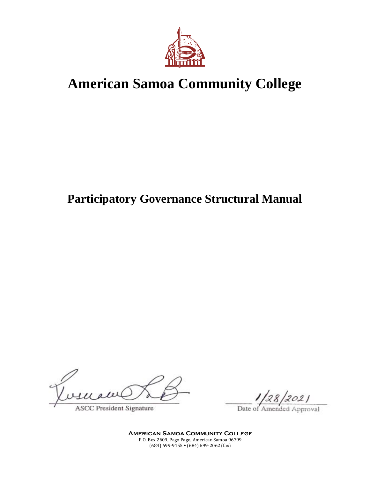

# **American Samoa Community College**

## **Participatory Governance Structural Manual**

**ASCC President Signature** 

Date of

**American Samoa Community College** P.O. Box 2609, Pago Pago, American Samoa 96799  $(684) 699-9155 \cdot (684) 699-2062$  (fax)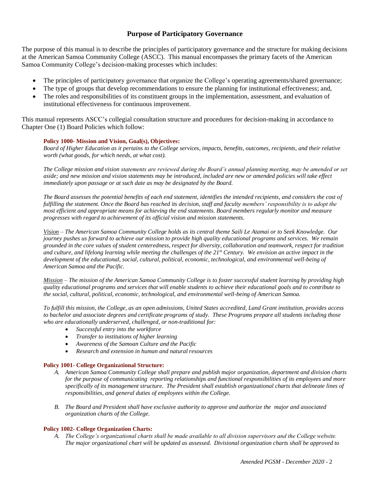## **Purpose of Participatory Governance**

The purpose of this manual is to describe the principles of participatory governance and the structure for making decisions at the American Samoa Community College (ASCC). This manual encompasses the primary facets of the American Samoa Community College's decision-making processes which includes:

- The principles of participatory governance that organize the College's operating agreements/shared governance;
- The type of groups that develop recommendations to ensure the planning for institutional effectiveness; and,
- The roles and responsibilities of its constituent groups in the implementation, assessment, and evaluation of institutional effectiveness for continuous improvement.

This manual represents ASCC's collegial consultation structure and procedures for decision-making in accordance to Chapter One (1) Board Policies which follow:

#### **Policy 1000- Mission and Vision, Goal(s), Objectives:**

*Board of Higher Education as it pertains to the College services, impacts, benefits, outcomes, recipients, and their relative worth (what goods, for which needs, at what cost).*

*The College mission and vision statements are reviewed during the Board's annual planning meeting, may be amended or set aside; and new mission and vision statements may be introduced, included are new or amended policies will take effect immediately upon passage or at such date as may be designated by the Board.*

*The Board assesses the potential benefits of each end statement, identifies the intended recipients, and considers the cost of fulfilling the statement. Once the Board has reached its decision, staff and faculty members' responsibility is to adopt the most efficient and appropriate means for achieving the end statements. Board members regularly monitor and measure progresses with regard to achievement of its official vision and mission statements.*

*Vision – The American Samoa Community College holds as its central theme Saili Le Atamai or to Seek Knowledge. Our journey pushes us forward to achieve our mission to provide high quality educational programs and services. We remain grounded in the core values of student centeredness, respect for diversity, collaboration and teamwork, respect for tradition and culture, and lifelong learning while meeting the challenges of the 21st Century. We envision an active impact in the development of the educational, social, cultural, political, economic, technological, and environmental well-being of American Samoa and the Pacific.*

*Mission – The mission of the American Samoa Community College is to foster successful student learning by providing high quality educational programs and services that will enable students to achieve their educational goals and to contribute to the social, cultural, political, economic, technological, and environmental well-being of American Samoa.*

*To fulfill this mission, the College, as an open admissions, United States accredited, Land Grant institution, provides access to bachelor and associate degrees and certificate programs of study. These Programs prepare all students including those who are educationally underserved, challenged, or non-traditional for:*

- *Successful entry into the workforce*
- *Transfer to institutions of higher learning*
- *Awareness of the Samoan Culture and the Pacific*
- *Research and extension in human and natural resources*

#### **Policy 1001- College Organizational Structure:**

- *A. American Samoa Community College shall prepare and publish major organization, department and division charts for the purpose of communicating reporting relationships and functional responsibilities of its employees and more specifically of its management structure. The President shall establish organizational charts that delineate lines of responsibilities, and general duties of employees within the College.*
- *B. The Board and President shall have exclusive authority to approve and authorize the major and associated organization charts of the College.*

#### **Policy 1002- College Organization Charts:**

*A. The College's organizational charts shall be made available to all division supervisors and the College website. The major organizational chart will be updated as assessed. Divisional organization charts shall be approved to*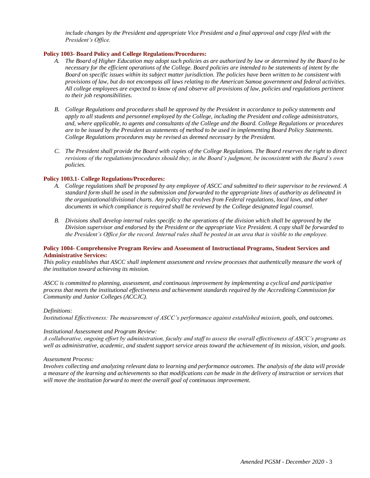*include changes by the President and appropriate Vice President and a final approval and copy filed with the President's Office.*

#### **Policy 1003- Board Policy and College Regulations/Procedures:**

- *A. The Board of Higher Education may adopt such policies as are authorized by law or determined by the Board to be necessary for the efficient operations of the College. Board policies are intended to be statements of intent by the Board on specific issues within its subject matter jurisdiction. The policies have been written to be consistent with provisions of law, but do not encompass all laws relating to the American Samoa government and federal activities. All college employees are expected to know of and observe all provisions of law, policies and regulations pertinent to their job responsibilities.*
- *B. College Regulations and procedures shall be approved by the President in accordance to policy statements and apply to all students and personnel employed by the College, including the President and college administrators, and, where applicable, to agents and consultants of the College and the Board. College Regulations or procedures are to be issued by the President as statements of method to be used in implementing Board Policy Statements. College Regulations procedures may be revised as deemed necessary by the President.*
- *C. The President shall provide the Board with copies of the College Regulations. The Board reserves the right to direct revisions of the regulations/procedures should they, in the Board's judgment, be inconsistent with the Board's own policies.*

#### **Policy 1003.1- College Regulations/Procedures:**

- *A. College regulations shall be proposed by any employee of ASCC and submitted to their supervisor to be reviewed. A standard form shall be used in the submission and forwarded to the appropriate lines of authority as delineated in the organizational/divisional charts. Any policy that evolves from Federal regulations, local laws, and other documents in which compliance is required shall be reviewed by the College designated legal counsel.*
- *B. Divisions shall develop internal rules specific to the operations of the division which shall be approved by the Division supervisor and endorsed by the President or the appropriate Vice President. A copy shall be forwarded to the President's Office for the record. Internal rules shall be posted in an area that is visible to the employee.*

#### **Policy 1004- Comprehensive Program Review and Assessment of Instructional Programs, Student Services and Administrative Services:**

*This policy establishes that ASCC shall implement assessment and review processes that authentically measure the work of the institution toward achieving its mission.* 

*ASCC is committed to planning, assessment, and continuous improvement by implementing a cyclical and participative process that meets the institutional effectiveness and achievement standards required by the Accrediting Commission for Community and Junior Colleges (ACCJC).* 

#### *Definitions:*

*Institutional Effectiveness: The measurement of ASCC's performance against established mission, goals, and outcomes.*

#### *Institutional Assessment and Program Review:*

*A collaborative, ongoing effort by administration, faculty and staff to assess the overall effectiveness of ASCC's programs as well as administrative, academic, and student support service areas toward the achievement of its mission, vision, and goals.*

#### *Assessment Process:*

*Involves collecting and analyzing relevant data to learning and performance outcomes. The analysis of the data will provide a measure of the learning and achievements so that modifications can be made in the delivery of instruction or services that will move the institution forward to meet the overall goal of continuous improvement.*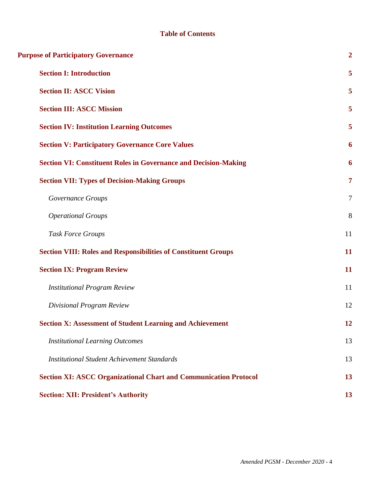## **Table of Contents**

| <b>Purpose of Participatory Governance</b>                              | $\overline{2}$ |
|-------------------------------------------------------------------------|----------------|
| <b>Section I: Introduction</b>                                          | 5              |
| <b>Section II: ASCC Vision</b>                                          | 5              |
| <b>Section III: ASCC Mission</b>                                        | 5              |
| <b>Section IV: Institution Learning Outcomes</b>                        | 5              |
| <b>Section V: Participatory Governance Core Values</b>                  | 6              |
| <b>Section VI: Constituent Roles in Governance and Decision-Making</b>  | 6              |
| <b>Section VII: Types of Decision-Making Groups</b>                     | $\overline{7}$ |
| Governance Groups                                                       | $\overline{7}$ |
| <b>Operational Groups</b>                                               | 8              |
| <b>Task Force Groups</b>                                                | 11             |
| <b>Section VIII: Roles and Responsibilities of Constituent Groups</b>   | 11             |
| <b>Section IX: Program Review</b>                                       | 11             |
| <b>Institutional Program Review</b>                                     | 11             |
| Divisional Program Review                                               | 12             |
| <b>Section X: Assessment of Student Learning and Achievement</b>        | <u>12</u>      |
| <b>Institutional Learning Outcomes</b>                                  | 13             |
| <b>Institutional Student Achievement Standards</b>                      | 13             |
| <b>Section XI: ASCC Organizational Chart and Communication Protocol</b> | 13             |
| <b>Section: XII: President's Authority</b>                              | 13             |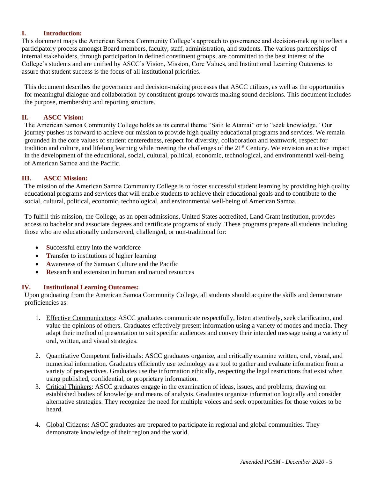## **I. Introduction:**

This document maps the American Samoa Community College's approach to governance and decision-making to reflect a participatory process amongst Board members, faculty, staff, administration, and students. The various partnerships of internal stakeholders, through participation in defined constituent groups, are committed to the best interest of the College's students and are unified by ASCC's Vision, Mission, Core Values, and Institutional Learning Outcomes to assure that student success is the focus of all institutional priorities.

This document describes the governance and decision-making processes that ASCC utilizes, as well as the opportunities for meaningful dialogue and collaboration by constituent groups towards making sound decisions. This document includes the purpose, membership and reporting structure.

## **II. ASCC Vision:**

The American Samoa Community College holds as its central theme "Saili le Atamai" or to "seek knowledge." Our journey pushes us forward to achieve our mission to provide high quality educational programs and services. We remain grounded in the core values of student centeredness, respect for diversity, collaboration and teamwork, respect for tradition and culture, and lifelong learning while meeting the challenges of the 21st Century. We envision an active impact in the development of the educational, social, cultural, political, economic, technological, and environmental well-being of American Samoa and the Pacific.

## **III. ASCC Mission:**

The mission of the American Samoa Community College is to foster successful student learning by providing high quality educational programs and services that will enable students to achieve their educational goals and to contribute to the social, cultural, political, economic, technological, and environmental well-being of American Samoa.

To fulfill this mission, the College, as an open admissions, United States accredited, Land Grant institution, provides access to bachelor and associate degrees and certificate programs of study. These programs prepare all students including those who are educationally underserved, challenged, or non-traditional for:

- **Successful entry into the workforce**
- **T**ransfer to institutions of higher learning
- **A**wareness of the Samoan Culture and the Pacific
- **R**esearch and extension in human and natural resources

## **IV. Institutional Learning Outcomes:**

Upon graduating from the American Samoa Community College, all students should acquire the skills and demonstrate proficiencies as:

- 1. Effective Communicators: ASCC graduates communicate respectfully, listen attentively, seek clarification, and value the opinions of others. Graduates effectively present information using a variety of modes and media. They adapt their method of presentation to suit specific audiences and convey their intended message using a variety of oral, written, and visual strategies.
- 2. Quantitative Competent Individuals: ASCC graduates organize, and critically examine written, oral, visual, and numerical information. Graduates efficiently use technology as a tool to gather and evaluate information from a variety of perspectives. Graduates use the information ethically, respecting the legal restrictions that exist when using published, confidential, or proprietary information.
- 3. Critical Thinkers: ASCC graduates engage in the examination of ideas, issues, and problems, drawing on established bodies of knowledge and means of analysis. Graduates organize information logically and consider alternative strategies. They recognize the need for multiple voices and seek opportunities for those voices to be heard.
- 4. Global Citizens: ASCC graduates are prepared to participate in regional and global communities. They demonstrate knowledge of their region and the world.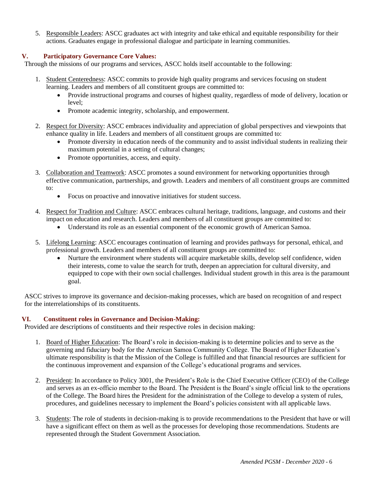5. Responsible Leaders: ASCC graduates act with integrity and take ethical and equitable responsibility for their actions. Graduates engage in professional dialogue and participate in learning communities.

## **V. Participatory Governance Core Values:**

Through the missions of our programs and services, ASCC holds itself accountable to the following:

- 1. Student Centeredness: ASCC commits to provide high quality programs and services focusing on student learning. Leaders and members of all constituent groups are committed to:
	- Provide instructional programs and courses of highest quality, regardless of mode of delivery, location or  $level:$
	- Promote academic integrity, scholarship, and empowerment.
- 2. Respect for Diversity: ASCC embraces individuality and appreciation of global perspectives and viewpoints that enhance quality in life. Leaders and members of all constituent groups are committed to:
	- Promote diversity in education needs of the community and to assist individual students in realizing their maximum potential in a setting of cultural changes;
	- Promote opportunities, access, and equity.
- 3. Collaboration and Teamwork: ASCC promotes a sound environment for networking opportunities through effective communication, partnerships, and growth. Leaders and members of all constituent groups are committed to:
	- Focus on proactive and innovative initiatives for student success.
- 4. Respect for Tradition and Culture: ASCC embraces cultural heritage, traditions, language, and customs and their impact on education and research. Leaders and members of all constituent groups are committed to:
	- Understand its role as an essential component of the economic growth of American Samoa.
- 5. Lifelong Learning: ASCC encourages continuation of learning and provides pathways for personal, ethical, and professional growth. Leaders and members of all constituent groups are committed to:
	- Nurture the environment where students will acquire marketable skills, develop self confidence, widen their interests, come to value the search for truth, deepen an appreciation for cultural diversity, and equipped to cope with their own social challenges. Individual student growth in this area is the paramount goal.

ASCC strives to improve its governance and decision-making processes, which are based on recognition of and respect for the interrelationships of its constituents.

## **VI. Constituent roles in Governance and Decision-Making:**

Provided are descriptions of constituents and their respective roles in decision making:

- 1. Board of Higher Education: The Board's role in decision-making is to determine policies and to serve as the governing and fiduciary body for the American Samoa Community College. The Board of Higher Education's ultimate responsibility is that the Mission of the College is fulfilled and that financial resources are sufficient for the continuous improvement and expansion of the College's educational programs and services.
- 2. President: In accordance to Policy 3001, the President's Role is the Chief Executive Officer (CEO) of the College and serves as an ex-officio member to the Board. The President is the Board's single official link to the operations of the College. The Board hires the President for the administration of the College to develop a system of rules, procedures, and guidelines necessary to implement the Board's policies consistent with all applicable laws.
- 3. Students: The role of students in decision-making is to provide recommendations to the President that have or will have a significant effect on them as well as the processes for developing those recommendations. Students are represented through the Student Government Association.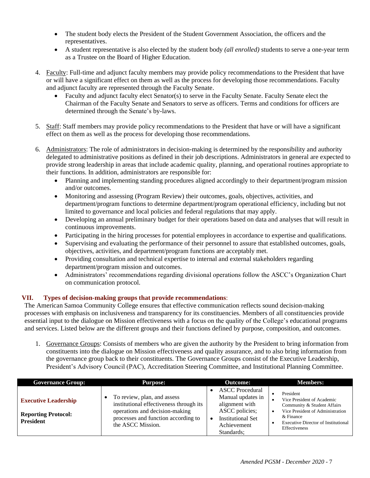- The student body elects the President of the Student Government Association, the officers and the representatives.
- A student representative is also elected by the student body *(all enrolled)* students to serve a one-year term as a Trustee on the Board of Higher Education.
- 4. Faculty: Full-time and adjunct faculty members may provide policy recommendations to the President that have or will have a significant effect on them as well as the process for developing those recommendations. Faculty and adjunct faculty are represented through the Faculty Senate.
	- Faculty and adjunct faculty elect Senator(s) to serve in the Faculty Senate. Faculty Senate elect the Chairman of the Faculty Senate and Senators to serve as officers. Terms and conditions for officers are determined through the Senate's by-laws.
- 5. Staff: Staff members may provide policy recommendations to the President that have or will have a significant effect on them as well as the process for developing those recommendations.
- 6. Administrators: The role of administrators in decision-making is determined by the responsibility and authority delegated to administrative positions as defined in their job descriptions. Administrators in general are expected to provide strong leadership in areas that include academic quality, planning, and operational routines appropriate to their functions. In addition, administrators are responsible for:
	- Planning and implementing standing procedures aligned accordingly to their department/program mission and/or outcomes.
	- Monitoring and assessing (Program Review) their outcomes, goals, objectives, activities, and department/program functions to determine department/program operational efficiency, including but not limited to governance and local policies and federal regulations that may apply.
	- Developing an annual preliminary budget for their operations based on data and analyses that will result in continuous improvements.
	- Participating in the hiring processes for potential employees in accordance to expertise and qualifications.
	- Supervising and evaluating the performance of their personnel to assure that established outcomes, goals, objectives, activities, and department/program functions are acceptably met.
	- Providing consultation and technical expertise to internal and external stakeholders regarding department/program mission and outcomes.
	- Administrators' recommendations regarding divisional operations follow the ASCC's Organization Chart on communication protocol.

## **VII. Types of decision-making groups that provide recommendations**:

The American Samoa Community College ensures that effective communication reflects sound decision-making processes with emphasis on inclusiveness and transparency for its constituencies. Members of all constituencies provide essential input to the dialogue on Mission effectiveness with a focus on the quality of the College's educational programs and services. Listed below are the different groups and their functions defined by purpose, composition, and outcomes.

1. Governance Groups: Consists of members who are given the authority by the President to bring information from constituents into the dialogue on Mission effectiveness and quality assurance, and to also bring information from the governance group back to their constituents. The Governance Groups consist of the Executive Leadership, President's Advisory Council (PAC), Accreditation Steering Committee, and Institutional Planning Committee.

| <b>Governance Group:</b>                                                      | <b>Purpose:</b>                                                                                                                                                      | <b>Outcome:</b>                                                                                                                          | <b>Members:</b>                                                                                                                                                                        |
|-------------------------------------------------------------------------------|----------------------------------------------------------------------------------------------------------------------------------------------------------------------|------------------------------------------------------------------------------------------------------------------------------------------|----------------------------------------------------------------------------------------------------------------------------------------------------------------------------------------|
| <b>Executive Leadership</b><br><b>Reporting Protocol:</b><br><b>President</b> | To review, plan, and assess<br>institutional effectiveness through its<br>operations and decision-making<br>processes and function according to<br>the ASCC Mission. | <b>ASCC</b> Procedural<br>Manual updates in<br>alignment with<br>ASCC policies;<br><b>Institutional Set</b><br>Achievement<br>Standards: | President<br>Vice President of Academic<br>Community & Student Affairs<br>Vice President of Administration<br>& Finance<br><b>Executive Director of Institutional</b><br>Effectiveness |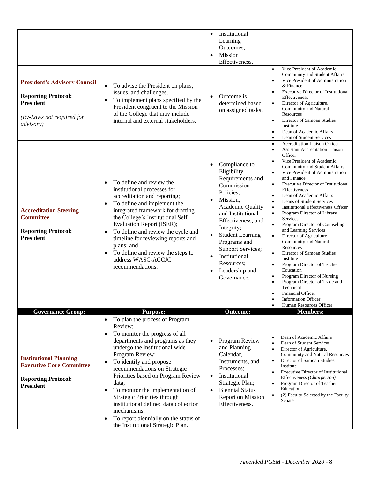| <b>President's Advisory Council</b><br><b>Reporting Protocol:</b><br><b>President</b><br>(By-Laws not required for<br><i>advisory</i> ) | To advise the President on plans,<br>$\bullet$<br>issues, and challenges.<br>To implement plans specified by the<br>$\bullet$<br>President congruent to the Mission<br>of the College that may include<br>internal and external stakeholders.                                                                                                                                                                                                                                                                                                             | Institutional<br>$\bullet$<br>Learning<br>Outcomes;<br>Mission<br>$\bullet$<br>Effectiveness.<br>Outcome is<br>$\bullet$<br>determined based<br>on assigned tasks.                                                                                                                                                                    | Vice President of Academic,<br>$\bullet$<br>Community and Student Affairs<br>Vice President of Administration<br>$\bullet$<br>& Finance<br><b>Executive Director of Institutional</b><br>$\bullet$<br>Effectiveness<br>Director of Agriculture,<br>$\bullet$<br>Community and Natural<br>Resources<br>Director of Samoan Studies<br>$\bullet$<br>Institute<br>Dean of Academic Affairs<br>$\bullet$<br>Dean of Student Services<br>$\bullet$                                                                                                                                                                                                                                                                                                                                                                                                                                                                                                                                 |
|-----------------------------------------------------------------------------------------------------------------------------------------|-----------------------------------------------------------------------------------------------------------------------------------------------------------------------------------------------------------------------------------------------------------------------------------------------------------------------------------------------------------------------------------------------------------------------------------------------------------------------------------------------------------------------------------------------------------|---------------------------------------------------------------------------------------------------------------------------------------------------------------------------------------------------------------------------------------------------------------------------------------------------------------------------------------|------------------------------------------------------------------------------------------------------------------------------------------------------------------------------------------------------------------------------------------------------------------------------------------------------------------------------------------------------------------------------------------------------------------------------------------------------------------------------------------------------------------------------------------------------------------------------------------------------------------------------------------------------------------------------------------------------------------------------------------------------------------------------------------------------------------------------------------------------------------------------------------------------------------------------------------------------------------------------|
| <b>Accreditation Steering</b><br><b>Committee</b><br><b>Reporting Protocol:</b><br><b>President</b>                                     | To define and review the<br>$\bullet$<br>institutional processes for<br>accreditation and reporting;<br>To define and implement the<br>$\bullet$<br>integrated framework for drafting<br>the College's Institutional Self<br>Evaluation Report (ISER);<br>To define and review the cycle and<br>$\bullet$<br>timeline for reviewing reports and<br>plans; and<br>To define and review the steps to<br>$\bullet$<br>address WASC-ACCJC<br>recommendations.                                                                                                 | Compliance to<br>$\bullet$<br>Eligibility<br>Requirements and<br>Commission<br>Policies;<br>Mission,<br><b>Academic Quality</b><br>and Institutional<br>Effectiveness, and<br>Integrity;<br><b>Student Learning</b><br>$\bullet$<br>Programs and<br>Support Services;<br>Institutional<br>Resources:<br>Leadership and<br>Governance. | <b>Accreditation Liaison Officer</b><br>$\bullet$<br><b>Assistant Accreditation Liaison</b><br>$\bullet$<br>Officer<br>Vice President of Academic,<br>٠<br>Community and Student Affairs<br>Vice President of Administration<br>$\bullet$<br>and Finance<br><b>Executive Director of Institutional</b><br>$\bullet$<br>Effectiveness<br>Dean of Academic Affairs<br>$\bullet$<br>Deans of Student Services<br>٠<br><b>Institutional Effectiveness Officer</b><br>$\bullet$<br>Program Director of Library<br>$\bullet$<br>Services<br>Program Director of Counseling<br>and Learning Services<br>Director of Agriculture,<br>$\bullet$<br>Community and Natural<br>Resources<br>Director of Samoan Studies<br>$\bullet$<br>Institute<br>Program Director of Teacher<br>$\bullet$<br>Education<br>Program Director of Nursing<br>$\bullet$<br>Program Director of Trade and<br>Technical<br><b>Financial Officer</b><br><b>Information Officer</b><br>Human Resources Officer |
| <b>Governance Group:</b>                                                                                                                | <b>Purpose:</b>                                                                                                                                                                                                                                                                                                                                                                                                                                                                                                                                           | <b>Outcome:</b>                                                                                                                                                                                                                                                                                                                       | <b>Members:</b>                                                                                                                                                                                                                                                                                                                                                                                                                                                                                                                                                                                                                                                                                                                                                                                                                                                                                                                                                              |
| <b>Institutional Planning</b><br><b>Executive Core Committee</b><br><b>Reporting Protocol:</b><br><b>President</b>                      | To plan the process of Program<br>$\bullet$<br>Review;<br>To monitor the progress of all<br>$\bullet$<br>departments and programs as they<br>undergo the institutional wide<br>Program Review;<br>To identify and propose<br>$\bullet$<br>recommendations on Strategic<br>Priorities based on Program Review<br>data;<br>To monitor the implementation of<br>$\bullet$<br>Strategic Priorities through<br>institutional defined data collection<br>mechanisms;<br>To report biennially on the status of<br>$\bullet$<br>the Institutional Strategic Plan. | Program Review<br>$\bullet$<br>and Planning<br>Calendar,<br>Instruments, and<br>Processes;<br>Institutional<br>$\bullet$<br>Strategic Plan;<br><b>Biennial Status</b><br>$\bullet$<br><b>Report on Mission</b><br>Effectiveness.                                                                                                      | Dean of Academic Affairs<br>Dean of Student Services<br>Director of Agriculture,<br>$\bullet$<br><b>Community and Natural Resources</b><br>Director of Samoan Studies<br>Institute<br><b>Executive Director of Institutional</b><br>Effectiveness (Chairperson)<br>Program Director of Teacher<br>Education<br>(2) Faculty Selected by the Faculty<br>Senate                                                                                                                                                                                                                                                                                                                                                                                                                                                                                                                                                                                                                 |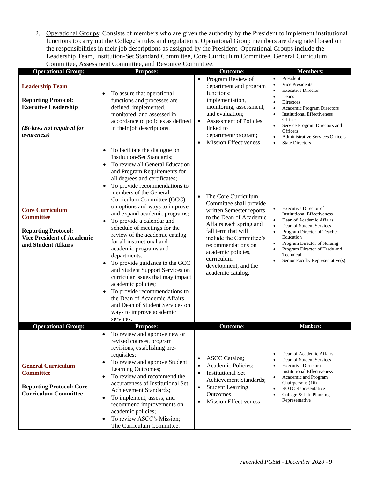2. Operational Groups: Consists of members who are given the authority by the President to implement institutional functions to carry out the College's rules and regulations. Operational Group members are designated based on the responsibilities in their job descriptions as assigned by the President. Operational Groups include the Leadership Team, Institution-Set Standard Committee, Core Curriculum Committee, General Curriculum Committee, Assessment Committee, and Resource Committee.

| <b>Operational Group:</b>                                                                                                              | Commute, Assessment Commutee, and Resource Commutee.<br><b>Purpose:</b>                                                                                                                                                                                                                                                                                                                                                                                                                                                                                                                                                                                                                                                                                                                                                                                            | <b>Outcome:</b>                                                                                                                                                                                                                                                                                        | <b>Members:</b>                                                                                                                                                                                                                                                                                                                                                                                                    |
|----------------------------------------------------------------------------------------------------------------------------------------|--------------------------------------------------------------------------------------------------------------------------------------------------------------------------------------------------------------------------------------------------------------------------------------------------------------------------------------------------------------------------------------------------------------------------------------------------------------------------------------------------------------------------------------------------------------------------------------------------------------------------------------------------------------------------------------------------------------------------------------------------------------------------------------------------------------------------------------------------------------------|--------------------------------------------------------------------------------------------------------------------------------------------------------------------------------------------------------------------------------------------------------------------------------------------------------|--------------------------------------------------------------------------------------------------------------------------------------------------------------------------------------------------------------------------------------------------------------------------------------------------------------------------------------------------------------------------------------------------------------------|
| <b>Leadership Team</b><br><b>Reporting Protocol:</b><br><b>Executive Leadership</b><br>(Bi-laws not required for<br><i>awareness</i> ) | To assure that operational<br>functions and processes are<br>defined, implemented,<br>monitored, and assessed in<br>accordance to policies as defined<br>in their job descriptions.                                                                                                                                                                                                                                                                                                                                                                                                                                                                                                                                                                                                                                                                                | Program Review of<br>$\bullet$<br>department and program<br>functions:<br>implementation,<br>monitoring, assessment,<br>and evaluation;<br>Assessment of Policies<br>$\bullet$<br>linked to<br>department/program;<br>Mission Effectiveness.<br>$\bullet$                                              | President<br>$\bullet$<br>Vice Presidents<br>$\bullet$<br><b>Executive Director</b><br>$\bullet$<br>Deans<br>$\bullet$<br>Directors<br>$\bullet$<br>Academic Program Directors<br>$\bullet$<br><b>Institutional Effectiveness</b><br>$\bullet$<br>Officer<br>Service Program Directors and<br>$\bullet$<br>Officers<br><b>Administrative Services Officers</b><br>$\bullet$<br><b>State Directors</b><br>$\bullet$ |
| <b>Core Curriculum</b><br><b>Committee</b><br><b>Reporting Protocol:</b><br><b>Vice President of Academic</b><br>and Student Affairs   | To facilitate the dialogue on<br>$\bullet$<br><b>Institution-Set Standards;</b><br>To review all General Education<br>$\bullet$<br>and Program Requirements for<br>all degrees and certificates;<br>To provide recommendations to<br>$\bullet$<br>members of the General<br>Curriculum Committee (GCC)<br>on options and ways to improve<br>and expand academic programs;<br>To provide a calendar and<br>$\bullet$<br>schedule of meetings for the<br>review of the academic catalog<br>for all instructional and<br>academic programs and<br>departments.<br>To provide guidance to the GCC<br>$\bullet$<br>and Student Support Services on<br>curricular issues that may impact<br>academic policies;<br>To provide recommendations to<br>$\bullet$<br>the Dean of Academic Affairs<br>and Dean of Student Services on<br>ways to improve academic<br>services. | The Core Curriculum<br>$\bullet$<br>Committee shall provide<br>written Semester reports<br>to the Dean of Academic<br>Affairs each spring and<br>fall term that will<br>include the Committee's<br>recommendations on<br>academic policies,<br>curriculum<br>development, and the<br>academic catalog. | Executive Director of<br>$\bullet$<br><b>Institutional Effectiveness</b><br>Dean of Academic Affairs<br>$\bullet$<br>Dean of Student Services<br>Program Director of Teacher<br>$\bullet$<br>Education<br>Program Director of Nursing<br>Program Director of Trade and<br>$\bullet$<br>Technical<br>Senior Faculty Representative(s)<br>$\bullet$                                                                  |
| <b>Operational Group:</b>                                                                                                              | <b>Purpose:</b>                                                                                                                                                                                                                                                                                                                                                                                                                                                                                                                                                                                                                                                                                                                                                                                                                                                    | <b>Outcome:</b>                                                                                                                                                                                                                                                                                        | <b>Members:</b>                                                                                                                                                                                                                                                                                                                                                                                                    |
| <b>General Curriculum</b><br><b>Committee</b><br><b>Reporting Protocol: Core</b><br><b>Curriculum Committee</b>                        | To review and approve new or<br>$\bullet$<br>revised courses, program<br>revisions, establishing pre-<br>requisites;<br>To review and approve Student<br>$\bullet$<br>Learning Outcomes;<br>To review and recommend the<br>$\bullet$<br>accurateness of Institutional Set<br>Achievement Standards;<br>To implement, assess, and<br>$\bullet$<br>recommend improvements on<br>academic policies;<br>To review ASCC's Mission;<br>$\bullet$<br>The Curriculum Committee.                                                                                                                                                                                                                                                                                                                                                                                            | <b>ASCC</b> Catalog;<br>$\bullet$<br>Academic Policies:<br>$\bullet$<br><b>Institutional Set</b><br>$\bullet$<br>Achievement Standards;<br><b>Student Learning</b><br>$\bullet$<br>Outcomes<br>Mission Effectiveness.<br>$\bullet$                                                                     | Dean of Academic Affairs<br>$\bullet$<br>Dean of Student Services<br>$\bullet$<br><b>Executive Director of</b><br>$\bullet$<br><b>Institutional Effectiveness</b><br>Academic and Program<br>Chairpersons (16)<br>ROTC Representative<br>$\bullet$<br>College & Life Planning<br>$\bullet$<br>Representative                                                                                                       |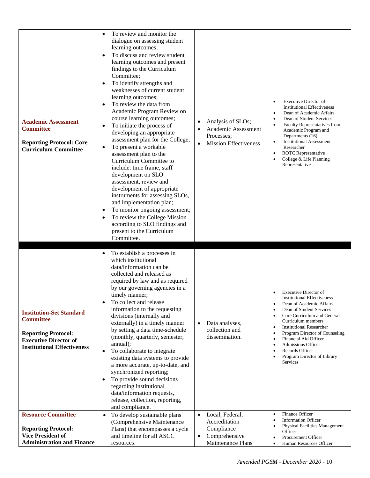| <b>Academic Assessment</b><br><b>Committee</b><br><b>Reporting Protocol: Core</b><br><b>Curriculum Committee</b>                                        | To review and monitor the<br>$\bullet$<br>dialogue on assessing student<br>learning outcomes;<br>To discuss and review student<br>learning outcomes and present<br>findings to the Curriculum<br>Committee;<br>To identify strengths and<br>٠<br>weaknesses of current student<br>learning outcomes;<br>To review the data from<br>٠<br>Academic Program Review on<br>course learning outcomes;<br>To initiate the process of<br>٠<br>developing an appropriate<br>assessment plan for the College;<br>To present a workable<br>٠<br>assessment plan to the<br>Curriculum Committee to<br>include: time frame, staff<br>development on SLO<br>assessment, review and<br>development of appropriate<br>instruments for assessing SLOs,<br>and implementation plan;<br>To monitor ongoing assessment;<br>٠<br>To review the College Mission<br>٠<br>according to SLO findings and<br>present to the Curriculum<br>Committee. | Analysis of SLOs;<br>$\bullet$<br>Academic Assessment<br>Processes;<br>Mission Effectiveness.<br>$\bullet$ | <b>Executive Director of</b><br>$\bullet$<br><b>Institutional Effectiveness</b><br>Dean of Academic Affairs<br>$\bullet$<br>Dean of Student Services<br>$\bullet$<br>Faculty Representatives from<br>$\bullet$<br>Academic Program and<br>Departments (16)<br><b>Institutional Assessment</b><br>$\bullet$<br>Researcher<br>ROTC Representative<br>$\bullet$<br>College & Life Planning<br>$\bullet$<br>Representative                                                           |
|---------------------------------------------------------------------------------------------------------------------------------------------------------|----------------------------------------------------------------------------------------------------------------------------------------------------------------------------------------------------------------------------------------------------------------------------------------------------------------------------------------------------------------------------------------------------------------------------------------------------------------------------------------------------------------------------------------------------------------------------------------------------------------------------------------------------------------------------------------------------------------------------------------------------------------------------------------------------------------------------------------------------------------------------------------------------------------------------|------------------------------------------------------------------------------------------------------------|----------------------------------------------------------------------------------------------------------------------------------------------------------------------------------------------------------------------------------------------------------------------------------------------------------------------------------------------------------------------------------------------------------------------------------------------------------------------------------|
| <b>Institution-Set Standard</b><br><b>Committee</b><br><b>Reporting Protocol:</b><br><b>Executive Director of</b><br><b>Institutional Effectiveness</b> | To establish a processes in<br>٠<br>which institutional<br>data/information can be<br>collected and released as<br>required by law and as required<br>by our governing agencies in a<br>timely manner;<br>To collect and release<br>$\bullet$<br>information to the requesting<br>divisions (internally and<br>externally) in a timely manner<br>by setting a data time-schedule<br>(monthly, quarterly, semester,<br>annual);<br>To collaborate to integrate<br>$\bullet$<br>existing data systems to provide<br>a more accurate, up-to-date, and<br>synchronized reporting;<br>To provide sound decisions<br>$\bullet$<br>regarding institutional<br>data/information requests,<br>release, collection, reporting,<br>and compliance.                                                                                                                                                                                    | Data analyses,<br>$\bullet$<br>collection and<br>dissemination.                                            | <b>Executive Director of</b><br><b>Institutional Effectiveness</b><br>Dean of Academic Affairs<br>$\bullet$<br>Dean of Student Services<br>Core Curriculum and General<br>$\bullet$<br>Curriculum members<br><b>Institutional Researcher</b><br>$\bullet$<br>Program Director of Counseling<br>$\bullet$<br>Financial Aid Officer<br>$\bullet$<br><b>Admissions Officer</b><br>$\bullet$<br>Records Officer<br>$\bullet$<br>Program Director of Library<br>$\bullet$<br>Services |
| <b>Resource Committee</b>                                                                                                                               | To develop sustainable plans<br>$\bullet$                                                                                                                                                                                                                                                                                                                                                                                                                                                                                                                                                                                                                                                                                                                                                                                                                                                                                  | Local, Federal,<br>$\bullet$                                                                               | Finance Officer<br>$\bullet$                                                                                                                                                                                                                                                                                                                                                                                                                                                     |
| <b>Reporting Protocol:</b>                                                                                                                              | (Comprehensive Maintenance                                                                                                                                                                                                                                                                                                                                                                                                                                                                                                                                                                                                                                                                                                                                                                                                                                                                                                 | Accreditation                                                                                              | <b>Information Officer</b><br>$\bullet$<br><b>Physical Facilities Management</b><br>$\bullet$                                                                                                                                                                                                                                                                                                                                                                                    |
| <b>Vice President of</b>                                                                                                                                | Plans) that encompasses a cycle<br>and timeline for all ASCC                                                                                                                                                                                                                                                                                                                                                                                                                                                                                                                                                                                                                                                                                                                                                                                                                                                               | Compliance<br>Comprehensive<br>$\bullet$                                                                   | Officer                                                                                                                                                                                                                                                                                                                                                                                                                                                                          |
| <b>Administration and Finance</b>                                                                                                                       | resources.                                                                                                                                                                                                                                                                                                                                                                                                                                                                                                                                                                                                                                                                                                                                                                                                                                                                                                                 | Maintenance Plans                                                                                          | Procurement Officer<br>$\bullet$<br>Human Resources Officer<br>$\bullet$                                                                                                                                                                                                                                                                                                                                                                                                         |
|                                                                                                                                                         |                                                                                                                                                                                                                                                                                                                                                                                                                                                                                                                                                                                                                                                                                                                                                                                                                                                                                                                            |                                                                                                            |                                                                                                                                                                                                                                                                                                                                                                                                                                                                                  |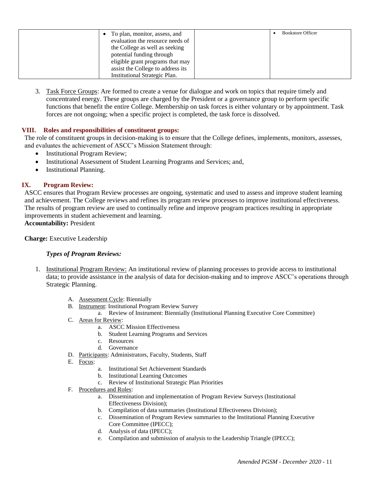| To plan, monitor, assess, and<br>evaluation the resource needs of<br>the College as well as seeking<br>potential funding through<br>eligible grant programs that may | <b>Bookstore Officer</b> |
|----------------------------------------------------------------------------------------------------------------------------------------------------------------------|--------------------------|
| assist the College to address its<br>Institutional Strategic Plan.                                                                                                   |                          |

3. Task Force Groups: Are formed to create a venue for dialogue and work on topics that require timely and concentrated energy. These groups are charged by the President or a governance group to perform specific functions that benefit the entire College. Membership on task forces is either voluntary or by appointment. Task forces are not ongoing; when a specific project is completed, the task force is dissolved.

## **VIII. Roles and responsibilities of constituent groups:**

The role of constituent groups in decision-making is to ensure that the College defines, implements, monitors, assesses, and evaluates the achievement of ASCC's Mission Statement through:

- Institutional Program Review;
- Institutional Assessment of Student Learning Programs and Services; and,
- Institutional Planning.

## **IX. Program Review:**

ASCC ensures that Program Review processes are ongoing, systematic and used to assess and improve student learning and achievement. The College reviews and refines its program review processes to improve institutional effectiveness. The results of program review are used to continually refine and improve program practices resulting in appropriate improvements in student achievement and learning.

**Accountability:** President

## **Charge:** Executive Leadership

## *Types of Program Reviews:*

- 1. Institutional Program Review: An institutional review of planning processes to provide access to institutional data; to provide assistance in the analysis of data for decision-making and to improve ASCC's operations through Strategic Planning.
	- A. Assessment Cycle: Biennially
	- B. Instrument: Institutional Program Review Survey
		- a. Review of Instrument: Biennially (Institutional Planning Executive Core Committee)
	- C. Areas for Review:
		- a. ASCC Mission Effectiveness
		- b. Student Learning Programs and Services
		- c. Resources
		- d. Governance
	- D. Participants: Administrators, Faculty, Students, Staff
	- E. Focus:
		- a. Institutional Set Achievement Standards
		- b. Institutional Learning Outcomes
		- c. Review of Institutional Strategic Plan Priorities
	- F. Procedures and Roles:
		- a. Dissemination and implementation of Program Review Surveys (Institutional Effectiveness Division);
		- b. Compilation of data summaries (Institutional Effectiveness Division);
		- c. Dissemination of Program Review summaries to the Institutional Planning Executive Core Committee (IPECC);
		- d. Analysis of data (IPECC);
		- e. Compilation and submission of analysis to the Leadership Triangle (IPECC);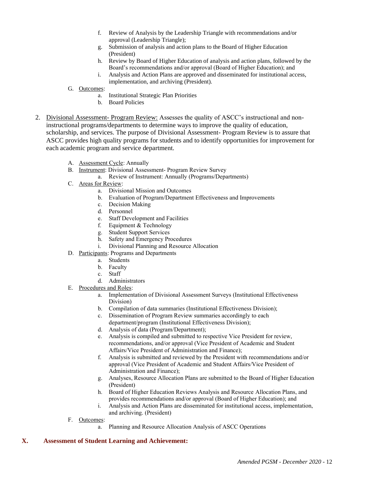- f. Review of Analysis by the Leadership Triangle with recommendations and/or approval (Leadership Triangle);
- g. Submission of analysis and action plans to the Board of Higher Education (President)
- h. Review by Board of Higher Education of analysis and action plans, followed by the Board's recommendations and/or approval (Board of Higher Education); and
- i. Analysis and Action Plans are approved and disseminated for institutional access, implementation, and archiving (President).
- G. Outcomes:
	- a. Institutional Strategic Plan Priorities
	- b. Board Policies
- 2. Divisional Assessment- Program Review: Assesses the quality of ASCC's instructional and noninstructional programs/departments to determine ways to improve the quality of education, scholarship, and services. The purpose of Divisional Assessment- Program Review is to assure that ASCC provides high quality programs for students and to identify opportunities for improvement for each academic program and service department.
	- A. Assessment Cycle: Annually
	- B. Instrument: Divisional Assessment- Program Review Survey
		- a. Review of Instrument: Annually (Programs/Departments)
	- C. Areas for Review:
		- a. Divisional Mission and Outcomes
		- b. Evaluation of Program/Department Effectiveness and Improvements
		- c. Decision Making
		- d. Personnel
		- e. Staff Development and Facilities
		- f. Equipment & Technology
		- g. Student Support Services
		- h. Safety and Emergency Procedures
		- i. Divisional Planning and Resource Allocation
	- D. Participants: Programs and Departments
		- a. Students
		- b. Faculty
		- c. Staff
		- d. Administrators
	- E. Procedures and Roles:
		- a. Implementation of Divisional Assessment Surveys (Institutional Effectiveness Division)
		- b. Compilation of data summaries (Institutional Effectiveness Division);
		- c. Dissemination of Program Review summaries accordingly to each department/program (Institutional Effectiveness Division);
		- d. Analysis of data (Program/Department);
		- e. Analysis is compiled and submitted to respective Vice President for review, recommendations, and/or approval (Vice President of Academic and Student Affairs/Vice President of Administration and Finance);
		- f. Analysis is submitted and reviewed by the President with recommendations and/or approval (Vice President of Academic and Student Affairs/Vice President of Administration and Finance);
		- g. Analyses, Resource Allocation Plans are submitted to the Board of Higher Education (President)
		- h. Board of Higher Education Reviews Analysis and Resource Allocation Plans, and provides recommendations and/or approval (Board of Higher Education); and
		- i. Analysis and Action Plans are disseminated for institutional access, implementation, and archiving. (President)
	- F. Outcomes:
		- a. Planning and Resource Allocation Analysis of ASCC Operations

#### **X. Assessment of Student Learning and Achievement:**